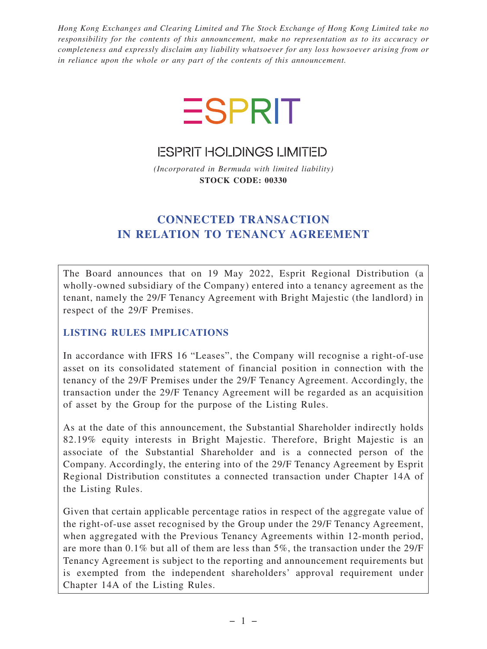*Hong Kong Exchanges and Clearing Limited and The Stock Exchange of Hong Kong Limited take no responsibility for the contents of this announcement, make no representation as to its accuracy or completeness and expressly disclaim any liability whatsoever for any loss howsoever arising from or in reliance upon the whole or any part of the contents of this announcement.*



**ESPRIT HOLDINGS LIMITED** 

*(Incorporated in Bermuda with limited liability)* **STOCK CODE: 00330**

# **CONNECTED TRANSACTION IN RELATION TO TENANCY AGREEMENT**

The Board announces that on 19 May 2022, Esprit Regional Distribution (a wholly-owned subsidiary of the Company) entered into a tenancy agreement as the tenant, namely the 29/F Tenancy Agreement with Bright Majestic (the landlord) in respect of the 29/F Premises.

# **LISTING RULES IMPLICATIONS**

In accordance with IFRS 16 "Leases", the Company will recognise a right-of-use asset on its consolidated statement of financial position in connection with the tenancy of the 29/F Premises under the 29/F Tenancy Agreement. Accordingly, the transaction under the 29/F Tenancy Agreement will be regarded as an acquisition of asset by the Group for the purpose of the Listing Rules.

As at the date of this announcement, the Substantial Shareholder indirectly holds 82.19% equity interests in Bright Majestic. Therefore, Bright Majestic is an associate of the Substantial Shareholder and is a connected person of the Company. Accordingly, the entering into of the 29/F Tenancy Agreement by Esprit Regional Distribution constitutes a connected transaction under Chapter 14A of the Listing Rules.

Given that certain applicable percentage ratios in respect of the aggregate value of the right-of-use asset recognised by the Group under the 29/F Tenancy Agreement, when aggregated with the Previous Tenancy Agreements within 12-month period, are more than 0.1% but all of them are less than 5%, the transaction under the 29/F Tenancy Agreement is subject to the reporting and announcement requirements but is exempted from the independent shareholders' approval requirement under Chapter 14A of the Listing Rules.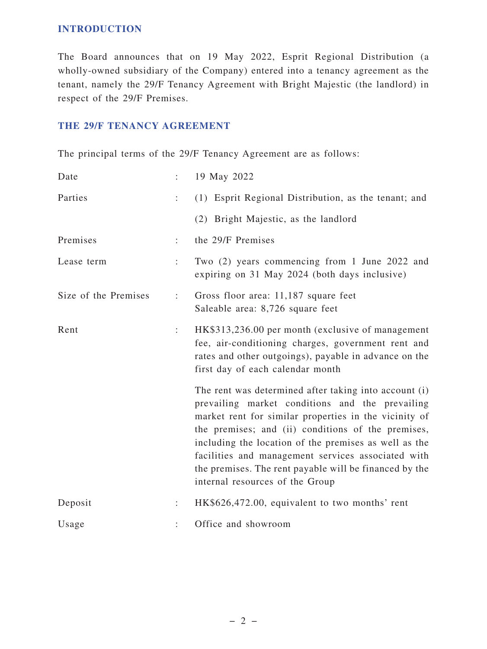### **INTRODUCTION**

The Board announces that on 19 May 2022, Esprit Regional Distribution (a wholly-owned subsidiary of the Company) entered into a tenancy agreement as the tenant, namely the 29/F Tenancy Agreement with Bright Majestic (the landlord) in respect of the 29/F Premises.

# **THE 29/F TENANCY AGREEMENT**

The principal terms of the 29/F Tenancy Agreement are as follows:

| Date                 | ÷.                   | 19 May 2022                                                                                                                                                                                                                                                                                                                                                                                                                         |
|----------------------|----------------------|-------------------------------------------------------------------------------------------------------------------------------------------------------------------------------------------------------------------------------------------------------------------------------------------------------------------------------------------------------------------------------------------------------------------------------------|
| Parties              |                      | (1) Esprit Regional Distribution, as the tenant; and                                                                                                                                                                                                                                                                                                                                                                                |
|                      |                      | (2) Bright Majestic, as the landlord                                                                                                                                                                                                                                                                                                                                                                                                |
| Premises             | $\ddot{\phantom{a}}$ | the 29/F Premises                                                                                                                                                                                                                                                                                                                                                                                                                   |
| Lease term           | ÷                    | Two (2) years commencing from 1 June 2022 and<br>expiring on 31 May 2024 (both days inclusive)                                                                                                                                                                                                                                                                                                                                      |
| Size of the Premises | ÷                    | Gross floor area: 11,187 square feet<br>Saleable area: 8,726 square feet                                                                                                                                                                                                                                                                                                                                                            |
| Rent                 | $\ddot{\cdot}$       | HK\$313,236.00 per month (exclusive of management<br>fee, air-conditioning charges, government rent and<br>rates and other outgoings), payable in advance on the<br>first day of each calendar month                                                                                                                                                                                                                                |
|                      |                      | The rent was determined after taking into account (i)<br>prevailing market conditions and the prevailing<br>market rent for similar properties in the vicinity of<br>the premises; and (ii) conditions of the premises,<br>including the location of the premises as well as the<br>facilities and management services associated with<br>the premises. The rent payable will be financed by the<br>internal resources of the Group |
| Deposit              |                      | HK\$626,472.00, equivalent to two months' rent                                                                                                                                                                                                                                                                                                                                                                                      |
| Usage                |                      | Office and showroom                                                                                                                                                                                                                                                                                                                                                                                                                 |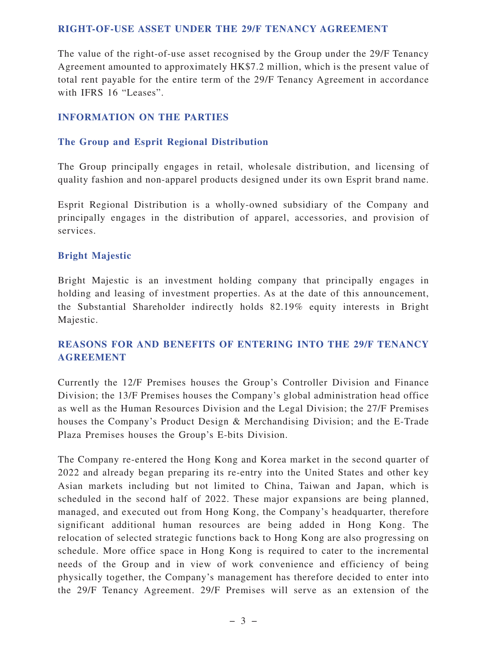#### **RIGHT-OF-USE ASSET UNDER THE 29/F TENANCY AGREEMENT**

The value of the right-of-use asset recognised by the Group under the 29/F Tenancy Agreement amounted to approximately HK\$7.2 million, which is the present value of total rent payable for the entire term of the 29/F Tenancy Agreement in accordance with IFRS 16 "Leases".

#### **INFORMATION ON THE PARTIES**

#### **The Group and Esprit Regional Distribution**

The Group principally engages in retail, wholesale distribution, and licensing of quality fashion and non-apparel products designed under its own Esprit brand name.

Esprit Regional Distribution is a wholly-owned subsidiary of the Company and principally engages in the distribution of apparel, accessories, and provision of services.

#### **Bright Majestic**

Bright Majestic is an investment holding company that principally engages in holding and leasing of investment properties. As at the date of this announcement, the Substantial Shareholder indirectly holds 82.19% equity interests in Bright Majestic.

# **REASONS FOR AND BENEFITS OF ENTERING INTO THE 29/F TENANCY AGREEMENT**

Currently the 12/F Premises houses the Group's Controller Division and Finance Division; the 13/F Premises houses the Company's global administration head office as well as the Human Resources Division and the Legal Division; the 27/F Premises houses the Company's Product Design & Merchandising Division; and the E-Trade Plaza Premises houses the Group's E-bits Division.

The Company re-entered the Hong Kong and Korea market in the second quarter of 2022 and already began preparing its re-entry into the United States and other key Asian markets including but not limited to China, Taiwan and Japan, which is scheduled in the second half of 2022. These major expansions are being planned, managed, and executed out from Hong Kong, the Company's headquarter, therefore significant additional human resources are being added in Hong Kong. The relocation of selected strategic functions back to Hong Kong are also progressing on schedule. More office space in Hong Kong is required to cater to the incremental needs of the Group and in view of work convenience and efficiency of being physically together, the Company's management has therefore decided to enter into the 29/F Tenancy Agreement. 29/F Premises will serve as an extension of the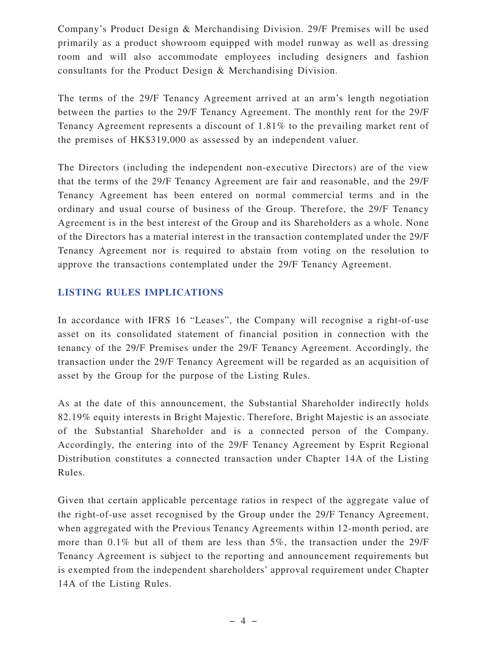Company's Product Design & Merchandising Division. 29/F Premises will be used primarily as a product showroom equipped with model runway as well as dressing room and will also accommodate employees including designers and fashion consultants for the Product Design & Merchandising Division.

The terms of the 29/F Tenancy Agreement arrived at an arm's length negotiation between the parties to the 29/F Tenancy Agreement. The monthly rent for the 29/F Tenancy Agreement represents a discount of 1.81% to the prevailing market rent of the premises of HK\$319,000 as assessed by an independent valuer.

The Directors (including the independent non-executive Directors) are of the view that the terms of the 29/F Tenancy Agreement are fair and reasonable, and the 29/F Tenancy Agreement has been entered on normal commercial terms and in the ordinary and usual course of business of the Group. Therefore, the 29/F Tenancy Agreement is in the best interest of the Group and its Shareholders as a whole. None of the Directors has a material interest in the transaction contemplated under the 29/F Tenancy Agreement nor is required to abstain from voting on the resolution to approve the transactions contemplated under the 29/F Tenancy Agreement.

# **LISTING RULES IMPLICATIONS**

In accordance with IFRS 16 "Leases", the Company will recognise a right-of-use asset on its consolidated statement of financial position in connection with the tenancy of the 29/F Premises under the 29/F Tenancy Agreement. Accordingly, the transaction under the 29/F Tenancy Agreement will be regarded as an acquisition of asset by the Group for the purpose of the Listing Rules.

As at the date of this announcement, the Substantial Shareholder indirectly holds 82.19% equity interests in Bright Majestic. Therefore, Bright Majestic is an associate of the Substantial Shareholder and is a connected person of the Company. Accordingly, the entering into of the 29/F Tenancy Agreement by Esprit Regional Distribution constitutes a connected transaction under Chapter 14A of the Listing Rules.

Given that certain applicable percentage ratios in respect of the aggregate value of the right-of-use asset recognised by the Group under the 29/F Tenancy Agreement, when aggregated with the Previous Tenancy Agreements within 12-month period, are more than 0.1% but all of them are less than 5%, the transaction under the 29/F Tenancy Agreement is subject to the reporting and announcement requirements but is exempted from the independent shareholders' approval requirement under Chapter 14A of the Listing Rules.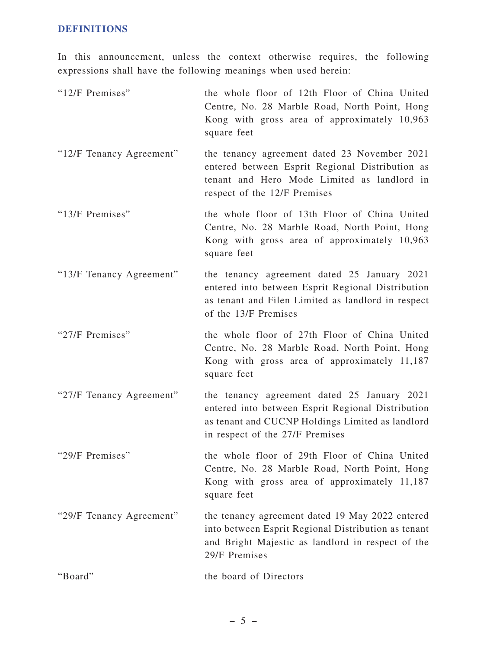## **DEFINITIONS**

In this announcement, unless the context otherwise requires, the following expressions shall have the following meanings when used herein:

| "12/F Premises"          | the whole floor of 12th Floor of China United<br>Centre, No. 28 Marble Road, North Point, Hong<br>Kong with gross area of approximately 10,963<br>square feet                           |
|--------------------------|-----------------------------------------------------------------------------------------------------------------------------------------------------------------------------------------|
| "12/F Tenancy Agreement" | the tenancy agreement dated 23 November 2021<br>entered between Esprit Regional Distribution as<br>tenant and Hero Mode Limited as landlord in<br>respect of the 12/F Premises          |
| "13/F Premises"          | the whole floor of 13th Floor of China United<br>Centre, No. 28 Marble Road, North Point, Hong<br>Kong with gross area of approximately 10,963<br>square feet                           |
| "13/F Tenancy Agreement" | the tenancy agreement dated 25 January 2021<br>entered into between Esprit Regional Distribution<br>as tenant and Filen Limited as landlord in respect<br>of the 13/F Premises          |
| "27/F Premises"          | the whole floor of 27th Floor of China United<br>Centre, No. 28 Marble Road, North Point, Hong<br>Kong with gross area of approximately 11,187<br>square feet                           |
| "27/F Tenancy Agreement" | the tenancy agreement dated 25 January 2021<br>entered into between Esprit Regional Distribution<br>as tenant and CUCNP Holdings Limited as landlord<br>in respect of the 27/F Premises |
| "29/F Premises"          | the whole floor of 29th Floor of China United<br>Centre, No. 28 Marble Road, North Point, Hong<br>Kong with gross area of approximately 11,187<br>square feet                           |
| "29/F Tenancy Agreement" | the tenancy agreement dated 19 May 2022 entered<br>into between Esprit Regional Distribution as tenant<br>and Bright Majestic as landlord in respect of the<br>29/F Premises            |
| "Board"                  | the board of Directors                                                                                                                                                                  |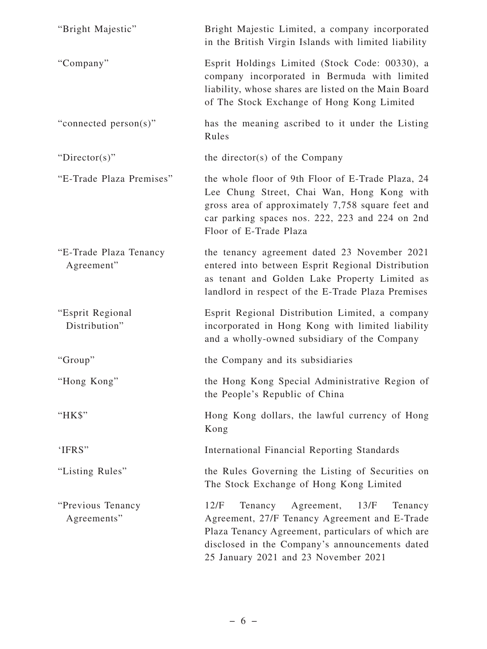| "Bright Majestic"                    | Bright Majestic Limited, a company incorporated<br>in the British Virgin Islands with limited liability                                                                                                                                       |
|--------------------------------------|-----------------------------------------------------------------------------------------------------------------------------------------------------------------------------------------------------------------------------------------------|
| "Company"                            | Esprit Holdings Limited (Stock Code: 00330), a<br>company incorporated in Bermuda with limited<br>liability, whose shares are listed on the Main Board<br>of The Stock Exchange of Hong Kong Limited                                          |
| "connected person(s)"                | has the meaning ascribed to it under the Listing<br>Rules                                                                                                                                                                                     |
| " $Directory$ "                      | the director(s) of the Company                                                                                                                                                                                                                |
| "E-Trade Plaza Premises"             | the whole floor of 9th Floor of E-Trade Plaza, 24<br>Lee Chung Street, Chai Wan, Hong Kong with<br>gross area of approximately 7,758 square feet and<br>car parking spaces nos. 222, 223 and 224 on 2nd<br>Floor of E-Trade Plaza             |
| "E-Trade Plaza Tenancy<br>Agreement" | the tenancy agreement dated 23 November 2021<br>entered into between Esprit Regional Distribution<br>as tenant and Golden Lake Property Limited as<br>landlord in respect of the E-Trade Plaza Premises                                       |
| "Esprit Regional<br>Distribution"    | Esprit Regional Distribution Limited, a company<br>incorporated in Hong Kong with limited liability<br>and a wholly-owned subsidiary of the Company                                                                                           |
| "Group"                              | the Company and its subsidiaries                                                                                                                                                                                                              |
| "Hong Kong"                          | the Hong Kong Special Administrative Region of<br>the People's Republic of China                                                                                                                                                              |
| "HK\$"                               | Hong Kong dollars, the lawful currency of Hong<br>Kong                                                                                                                                                                                        |
| 'IFRS"                               | International Financial Reporting Standards                                                                                                                                                                                                   |
| "Listing Rules"                      | the Rules Governing the Listing of Securities on<br>The Stock Exchange of Hong Kong Limited                                                                                                                                                   |
| "Previous Tenancy<br>Agreements"     | Agreement, 13/F<br>12/F<br>Tenancy<br>Tenancy<br>Agreement, 27/F Tenancy Agreement and E-Trade<br>Plaza Tenancy Agreement, particulars of which are<br>disclosed in the Company's announcements dated<br>25 January 2021 and 23 November 2021 |